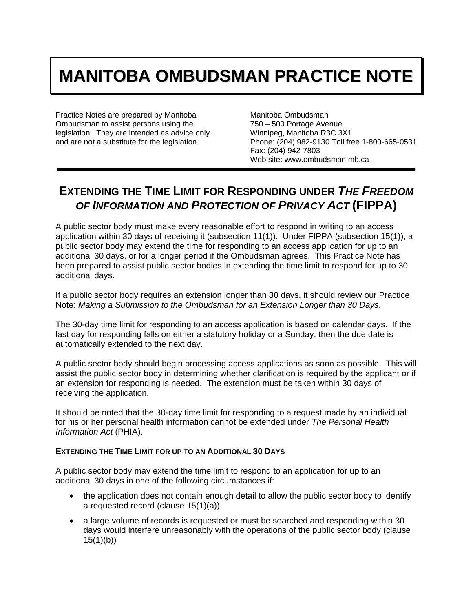# **MANITOBA OMBUDSMAN PRACTICE NOTE**

Practice Notes are prepared by Manitoba Ombudsman to assist persons using the legislation. They are intended as advice only and are not a substitute for the legislation.

Manitoba Ombudsman 750 – 500 Portage Avenue Winnipeg, Manitoba R3C 3X1 Phone: (204) 982-9130 Toll free 1-800-665-0531 Fax: (204) 942-7803 Web site: www.ombudsman.mb.ca

# **EXTENDING THE TIME LIMIT FOR RESPONDING UNDER** *THE FREEDOM OF INFORMATION AND PROTECTION OF PRIVACY ACT* **(FIPPA)**

A public sector body must make every reasonable effort to respond in writing to an access application within 30 days of receiving it (subsection 11(1)). Under FIPPA (subsection 15(1)), a public sector body may extend the time for responding to an access application for up to an additional 30 days, or for a longer period if the Ombudsman agrees. This Practice Note has been prepared to assist public sector bodies in extending the time limit to respond for up to 30 additional days.

If a public sector body requires an extension longer than 30 days, it should review our Practice Note: *Making a Submission to the Ombudsman for an Extension Longer than 30 Days*.

The 30-day time limit for responding to an access application is based on calendar days. If the last day for responding falls on either a statutory holiday or a Sunday, then the due date is automatically extended to the next day.

A public sector body should begin processing access applications as soon as possible. This will assist the public sector body in determining whether clarification is required by the applicant or if an extension for responding is needed. The extension must be taken within 30 days of receiving the application.

It should be noted that the 30-day time limit for responding to a request made by an individual for his or her personal health information cannot be extended under *The Personal Health Information Act* (PHIA).

#### **EXTENDING THE TIME LIMIT FOR UP TO AN ADDITIONAL 30 DAYS**

A public sector body may extend the time limit to respond to an application for up to an additional 30 days in one of the following circumstances if:

- the application does not contain enough detail to allow the public sector body to identify a requested record (clause 15(1)(a))
- a large volume of records is requested or must be searched and responding within 30 days would interfere unreasonably with the operations of the public sector body (clause  $15(1)(b)$